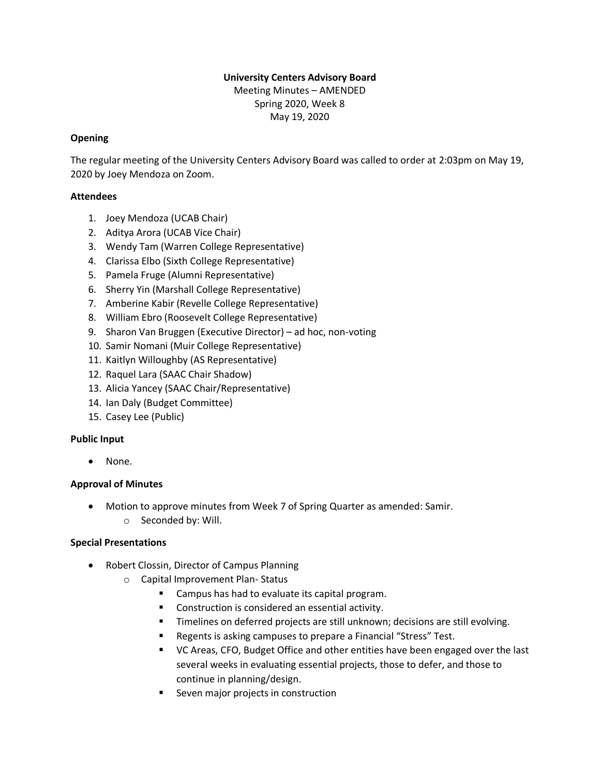# **University Centers Advisory Board**

Meeting Minutes – AMENDED Spring 2020, Week 8 May 19, 2020

## **Opening**

The regular meeting of the University Centers Advisory Board was called to order at 2:03pm on May 19, 2020 by Joey Mendoza on Zoom.

## **Attendees**

- 1. Joey Mendoza (UCAB Chair)
- 2. Aditya Arora (UCAB Vice Chair)
- 3. Wendy Tam (Warren College Representative)
- 4. Clarissa Elbo (Sixth College Representative)
- 5. Pamela Fruge (Alumni Representative)
- 6. Sherry Yin (Marshall College Representative)
- 7. Amberine Kabir (Revelle College Representative)
- 8. William Ebro (Roosevelt College Representative)
- 9. Sharon Van Bruggen (Executive Director) ad hoc, non-voting
- 10. Samir Nomani (Muir College Representative)
- 11. Kaitlyn Willoughby (AS Representative)
- 12. Raquel Lara (SAAC Chair Shadow)
- 13. Alicia Yancey (SAAC Chair/Representative)
- 14. Ian Daly (Budget Committee)
- 15. Casey Lee (Public)

## **Public Input**

• None.

## **Approval of Minutes**

- Motion to approve minutes from Week 7 of Spring Quarter as amended: Samir.
	- o Seconded by: Will.

### **Special Presentations**

- Robert Clossin, Director of Campus Planning
	- o Capital Improvement Plan- Status
		- Campus has had to evaluate its capital program.
		- Construction is considered an essential activity.
		- **E** Timelines on deferred projects are still unknown; decisions are still evolving.
		- Regents is asking campuses to prepare a Financial "Stress" Test.
		- VC Areas, CFO, Budget Office and other entities have been engaged over the last several weeks in evaluating essential projects, those to defer, and those to continue in planning/design.
		- Seven major projects in construction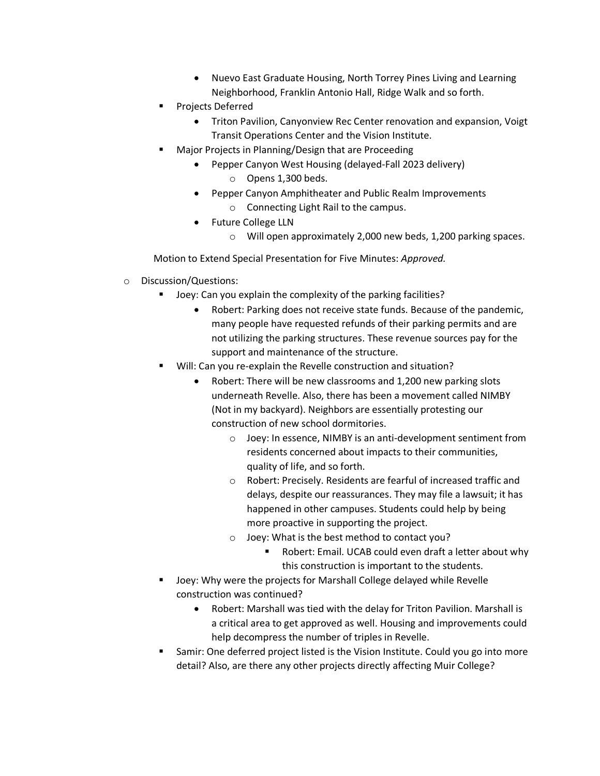- Nuevo East Graduate Housing, North Torrey Pines Living and Learning Neighborhood, Franklin Antonio Hall, Ridge Walk and so forth.
- Projects Deferred
	- Triton Pavilion, Canyonview Rec Center renovation and expansion, Voigt Transit Operations Center and the Vision Institute.
- Major Projects in Planning/Design that are Proceeding
	- Pepper Canyon West Housing (delayed-Fall 2023 delivery) o Opens 1,300 beds.
	- Pepper Canyon Amphitheater and Public Realm Improvements o Connecting Light Rail to the campus.
	- Future College LLN
		- o Will open approximately 2,000 new beds, 1,200 parking spaces.

Motion to Extend Special Presentation for Five Minutes: *Approved.*

- o Discussion/Questions:
	- Joey: Can you explain the complexity of the parking facilities?
		- Robert: Parking does not receive state funds. Because of the pandemic, many people have requested refunds of their parking permits and are not utilizing the parking structures. These revenue sources pay for the support and maintenance of the structure.
	- Will: Can you re-explain the Revelle construction and situation?
		- Robert: There will be new classrooms and 1,200 new parking slots underneath Revelle. Also, there has been a movement called NIMBY (Not in my backyard). Neighbors are essentially protesting our construction of new school dormitories.
			- o Joey: In essence, NIMBY is an anti-development sentiment from residents concerned about impacts to their communities, quality of life, and so forth.
			- o Robert: Precisely. Residents are fearful of increased traffic and delays, despite our reassurances. They may file a lawsuit; it has happened in other campuses. Students could help by being more proactive in supporting the project.
			- o Joey: What is the best method to contact you?
				- Robert: Email. UCAB could even draft a letter about why this construction is important to the students.
	- Joey: Why were the projects for Marshall College delayed while Revelle construction was continued?
		- Robert: Marshall was tied with the delay for Triton Pavilion. Marshall is a critical area to get approved as well. Housing and improvements could help decompress the number of triples in Revelle.
	- Samir: One deferred project listed is the Vision Institute. Could you go into more detail? Also, are there any other projects directly affecting Muir College?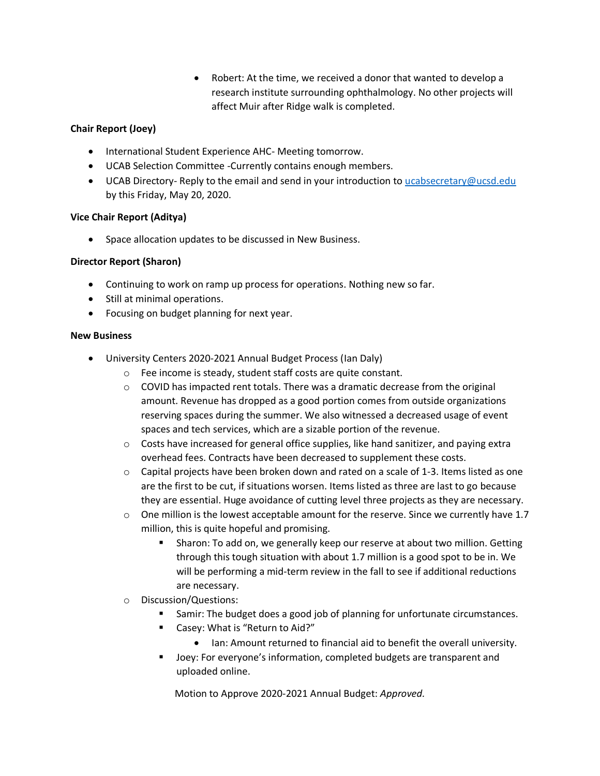• Robert: At the time, we received a donor that wanted to develop a research institute surrounding ophthalmology. No other projects will affect Muir after Ridge walk is completed.

## **Chair Report (Joey)**

- International Student Experience AHC- Meeting tomorrow.
- UCAB Selection Committee -Currently contains enough members.
- UCAB Directory- Reply to the email and send in your introduction to [ucabsecretary@ucsd.edu](mailto:ucabsecretary@ucsd.edu) by this Friday, May 20, 2020.

### **Vice Chair Report (Aditya)**

• Space allocation updates to be discussed in New Business.

### **Director Report (Sharon)**

- Continuing to work on ramp up process for operations. Nothing new so far.
- Still at minimal operations.
- Focusing on budget planning for next year.

#### **New Business**

- University Centers 2020-2021 Annual Budget Process (Ian Daly)
	- o Fee income is steady, student staff costs are quite constant.
	- $\circ$  COVID has impacted rent totals. There was a dramatic decrease from the original amount. Revenue has dropped as a good portion comes from outside organizations reserving spaces during the summer. We also witnessed a decreased usage of event spaces and tech services, which are a sizable portion of the revenue.
	- $\circ$  Costs have increased for general office supplies, like hand sanitizer, and paying extra overhead fees. Contracts have been decreased to supplement these costs.
	- o Capital projects have been broken down and rated on a scale of 1-3. Items listed as one are the first to be cut, if situations worsen. Items listed as three are last to go because they are essential. Huge avoidance of cutting level three projects as they are necessary.
	- $\circ$  One million is the lowest acceptable amount for the reserve. Since we currently have 1.7 million, this is quite hopeful and promising.
		- Sharon: To add on, we generally keep our reserve at about two million. Getting through this tough situation with about 1.7 million is a good spot to be in. We will be performing a mid-term review in the fall to see if additional reductions are necessary.
	- o Discussion/Questions:
		- Samir: The budget does a good job of planning for unfortunate circumstances.
		- Casey: What is "Return to Aid?"
			- Ian: Amount returned to financial aid to benefit the overall university.
		- Joey: For everyone's information, completed budgets are transparent and uploaded online.

Motion to Approve 2020-2021 Annual Budget: *Approved.*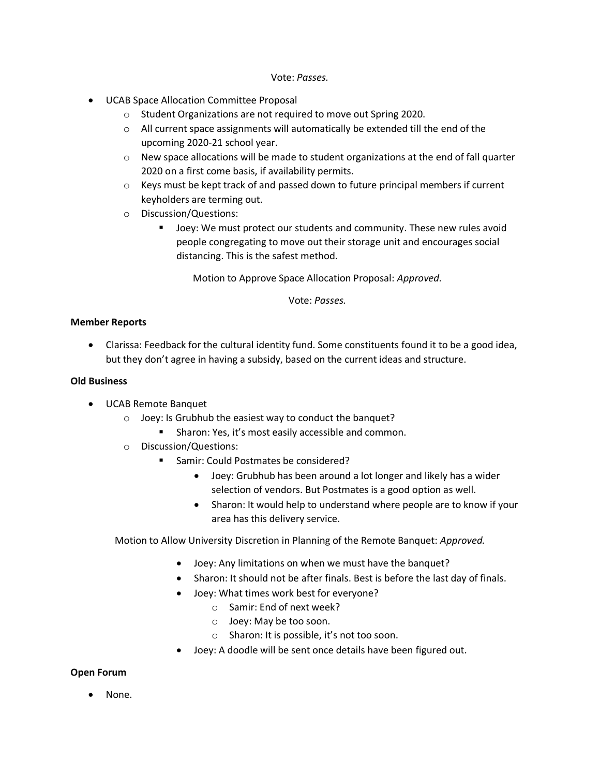#### Vote: *Passes.*

- UCAB Space Allocation Committee Proposal
	- o Student Organizations are not required to move out Spring 2020.
	- o All current space assignments will automatically be extended till the end of the upcoming 2020-21 school year.
	- $\circ$  New space allocations will be made to student organizations at the end of fall quarter 2020 on a first come basis, if availability permits.
	- $\circ$  Keys must be kept track of and passed down to future principal members if current keyholders are terming out.
	- o Discussion/Questions:
		- Joey: We must protect our students and community. These new rules avoid people congregating to move out their storage unit and encourages social distancing. This is the safest method.

Motion to Approve Space Allocation Proposal: *Approved.*

Vote: *Passes.*

#### **Member Reports**

• Clarissa: Feedback for the cultural identity fund. Some constituents found it to be a good idea, but they don't agree in having a subsidy, based on the current ideas and structure.

#### **Old Business**

- UCAB Remote Banquet
	- o Joey: Is Grubhub the easiest way to conduct the banquet?
		- Sharon: Yes, it's most easily accessible and common.
	- o Discussion/Questions:
		- Samir: Could Postmates be considered?
			- Joey: Grubhub has been around a lot longer and likely has a wider selection of vendors. But Postmates is a good option as well.
			- Sharon: It would help to understand where people are to know if your area has this delivery service.

Motion to Allow University Discretion in Planning of the Remote Banquet: *Approved.*

- Joey: Any limitations on when we must have the banquet?
- Sharon: It should not be after finals. Best is before the last day of finals.
- Joey: What times work best for everyone?
	- o Samir: End of next week?
	- o Joey: May be too soon.
	- o Sharon: It is possible, it's not too soon.
- Joey: A doodle will be sent once details have been figured out.

#### **Open Forum**

• None.